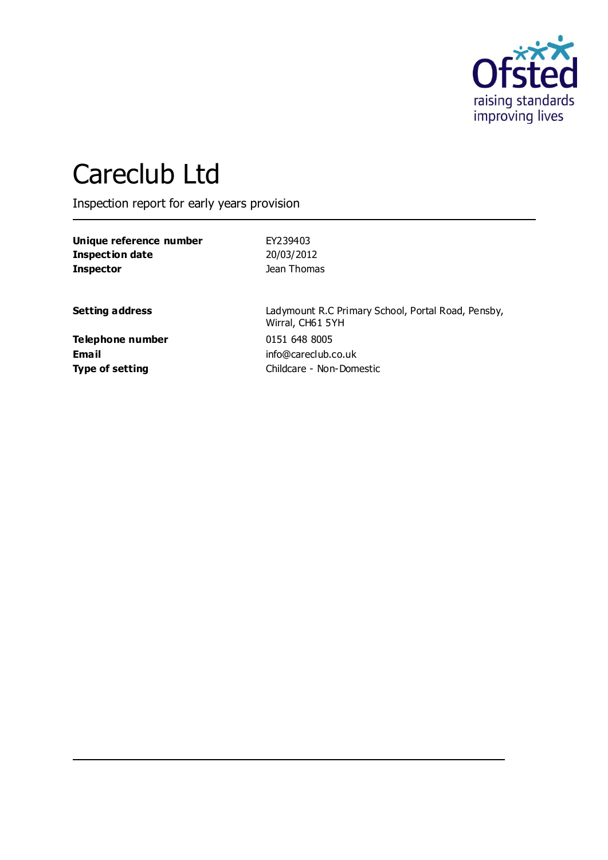

# Careclub Ltd

Inspection report for early years provision

**Unique reference number** EY239403 **Inspection date** 20/03/2012 **Inspector Inspector Jean Thomas** 

**Setting address** Ladymount R.C Primary School, Portal Road, Pensby, Wirral, CH61 5YH **Type of setting** Childcare - Non-Domestic

**Telephone number** 0151 648 8005 **Email** info@careclub.co.uk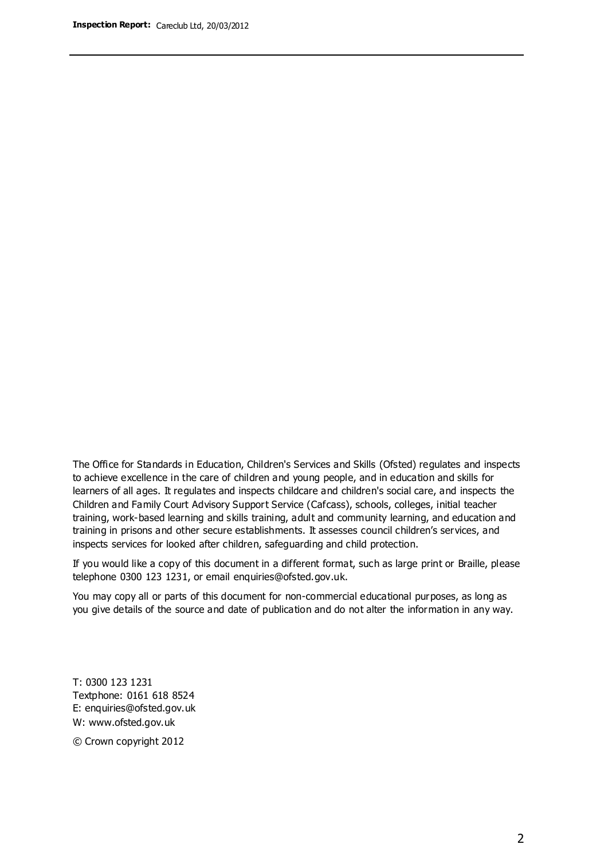The Office for Standards in Education, Children's Services and Skills (Ofsted) regulates and inspects to achieve excellence in the care of children and young people, and in education and skills for learners of all ages. It regulates and inspects childcare and children's social care, and inspects the Children and Family Court Advisory Support Service (Cafcass), schools, colleges, initial teacher training, work-based learning and skills training, adult and community learning, and education and training in prisons and other secure establishments. It assesses council children's services, and inspects services for looked after children, safeguarding and child protection.

If you would like a copy of this document in a different format, such as large print or Braille, please telephone 0300 123 1231, or email enquiries@ofsted.gov.uk.

You may copy all or parts of this document for non-commercial educational purposes, as long as you give details of the source and date of publication and do not alter the information in any way.

T: 0300 123 1231 Textphone: 0161 618 8524 E: enquiries@ofsted.gov.uk W: [www.ofsted.gov.uk](http://www.ofsted.gov.uk/)

© Crown copyright 2012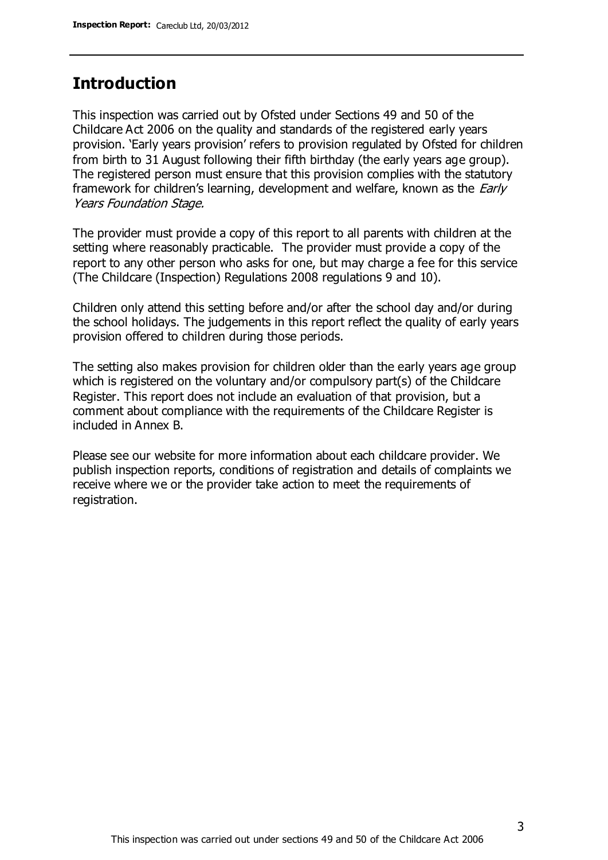### **Introduction**

This inspection was carried out by Ofsted under Sections 49 and 50 of the Childcare Act 2006 on the quality and standards of the registered early years provision. 'Early years provision' refers to provision regulated by Ofsted for children from birth to 31 August following their fifth birthday (the early years age group). The registered person must ensure that this provision complies with the statutory framework for children's learning, development and welfare, known as the *Early* Years Foundation Stage.

The provider must provide a copy of this report to all parents with children at the setting where reasonably practicable. The provider must provide a copy of the report to any other person who asks for one, but may charge a fee for this service (The Childcare (Inspection) Regulations 2008 regulations 9 and 10).

Children only attend this setting before and/or after the school day and/or during the school holidays. The judgements in this report reflect the quality of early years provision offered to children during those periods.

The setting also makes provision for children older than the early years age group which is registered on the voluntary and/or compulsory part(s) of the Childcare Register. This report does not include an evaluation of that provision, but a comment about compliance with the requirements of the Childcare Register is included in Annex B.

Please see our website for more information about each childcare provider. We publish inspection reports, conditions of registration and details of complaints we receive where we or the provider take action to meet the requirements of registration.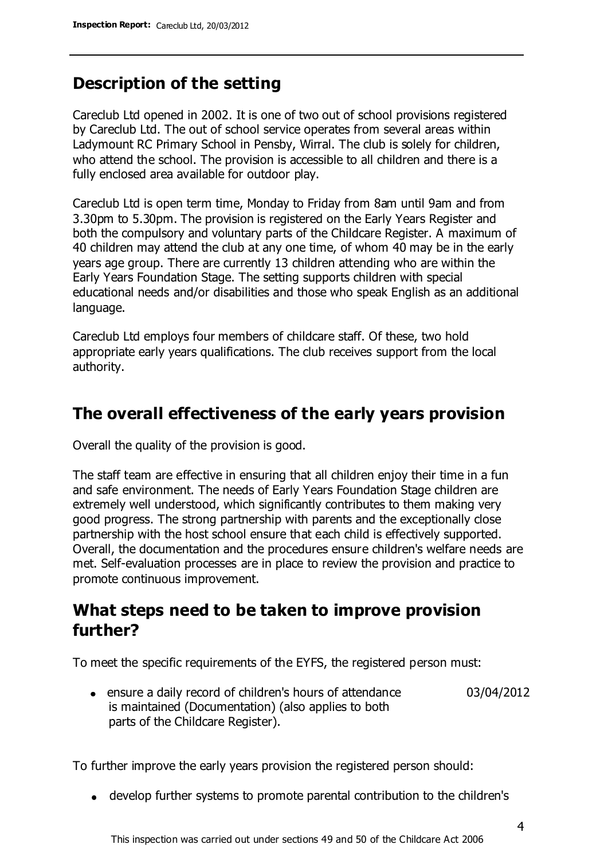### **Description of the setting**

Careclub Ltd opened in 2002. It is one of two out of school provisions registered by Careclub Ltd. The out of school service operates from several areas within Ladymount RC Primary School in Pensby, Wirral. The club is solely for children, who attend the school. The provision is accessible to all children and there is a fully enclosed area available for outdoor play.

Careclub Ltd is open term time, Monday to Friday from 8am until 9am and from 3.30pm to 5.30pm. The provision is registered on the Early Years Register and both the compulsory and voluntary parts of the Childcare Register. A maximum of 40 children may attend the club at any one time, of whom 40 may be in the early years age group. There are currently 13 children attending who are within the Early Years Foundation Stage. The setting supports children with special educational needs and/or disabilities and those who speak English as an additional language.

Careclub Ltd employs four members of childcare staff. Of these, two hold appropriate early years qualifications. The club receives support from the local authority.

### **The overall effectiveness of the early years provision**

Overall the quality of the provision is good.

The staff team are effective in ensuring that all children enjoy their time in a fun and safe environment. The needs of Early Years Foundation Stage children are extremely well understood, which significantly contributes to them making very good progress. The strong partnership with parents and the exceptionally close partnership with the host school ensure that each child is effectively supported. Overall, the documentation and the procedures ensure children's welfare needs are met. Self-evaluation processes are in place to review the provision and practice to promote continuous improvement.

### **What steps need to be taken to improve provision further?**

To meet the specific requirements of the EYFS, the registered person must:

ensure a daily record of children's hours of attendance is maintained (Documentation) (also applies to both parts of the Childcare Register). 03/04/2012

To further improve the early years provision the registered person should:

develop further systems to promote parental contribution to the children's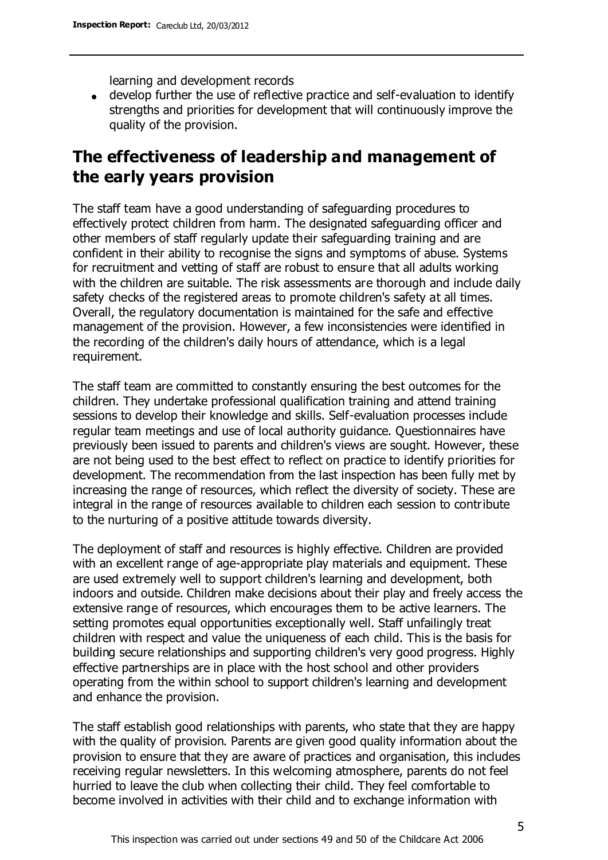learning and development records

develop further the use of reflective practice and self-evaluation to identify strengths and priorities for development that will continuously improve the quality of the provision.

### **The effectiveness of leadership and management of the early years provision**

The staff team have a good understanding of safeguarding procedures to effectively protect children from harm. The designated safeguarding officer and other members of staff regularly update their safeguarding training and are confident in their ability to recognise the signs and symptoms of abuse. Systems for recruitment and vetting of staff are robust to ensure that all adults working with the children are suitable. The risk assessments are thorough and include daily safety checks of the registered areas to promote children's safety at all times. Overall, the regulatory documentation is maintained for the safe and effective management of the provision. However, a few inconsistencies were identified in the recording of the children's daily hours of attendance, which is a legal requirement.

The staff team are committed to constantly ensuring the best outcomes for the children. They undertake professional qualification training and attend training sessions to develop their knowledge and skills. Self-evaluation processes include regular team meetings and use of local authority guidance. Questionnaires have previously been issued to parents and children's views are sought. However, these are not being used to the best effect to reflect on practice to identify priorities for development. The recommendation from the last inspection has been fully met by increasing the range of resources, which reflect the diversity of society. These are integral in the range of resources available to children each session to contribute to the nurturing of a positive attitude towards diversity.

The deployment of staff and resources is highly effective. Children are provided with an excellent range of age-appropriate play materials and equipment. These are used extremely well to support children's learning and development, both indoors and outside. Children make decisions about their play and freely access the extensive range of resources, which encourages them to be active learners. The setting promotes equal opportunities exceptionally well. Staff unfailingly treat children with respect and value the uniqueness of each child. This is the basis for building secure relationships and supporting children's very good progress. Highly effective partnerships are in place with the host school and other providers operating from the within school to support children's learning and development and enhance the provision.

The staff establish good relationships with parents, who state that they are happy with the quality of provision. Parents are given good quality information about the provision to ensure that they are aware of practices and organisation, this includes receiving regular newsletters. In this welcoming atmosphere, parents do not feel hurried to leave the club when collecting their child. They feel comfortable to become involved in activities with their child and to exchange information with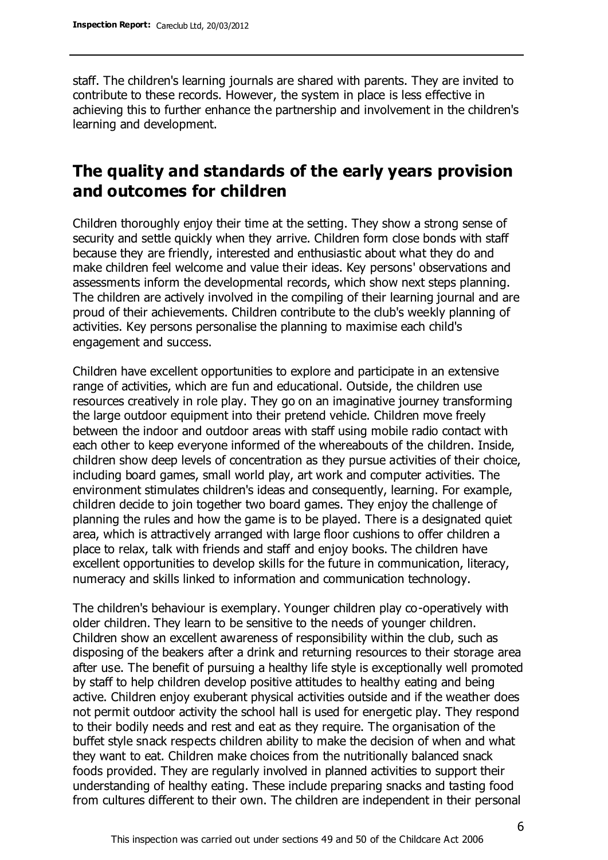staff. The children's learning journals are shared with parents. They are invited to contribute to these records. However, the system in place is less effective in achieving this to further enhance the partnership and involvement in the children's learning and development.

### **The quality and standards of the early years provision and outcomes for children**

Children thoroughly enjoy their time at the setting. They show a strong sense of security and settle quickly when they arrive. Children form close bonds with staff because they are friendly, interested and enthusiastic about what they do and make children feel welcome and value their ideas. Key persons' observations and assessments inform the developmental records, which show next steps planning. The children are actively involved in the compiling of their learning journal and are proud of their achievements. Children contribute to the club's weekly planning of activities. Key persons personalise the planning to maximise each child's engagement and success.

Children have excellent opportunities to explore and participate in an extensive range of activities, which are fun and educational. Outside, the children use resources creatively in role play. They go on an imaginative journey transforming the large outdoor equipment into their pretend vehicle. Children move freely between the indoor and outdoor areas with staff using mobile radio contact with each other to keep everyone informed of the whereabouts of the children. Inside, children show deep levels of concentration as they pursue activities of their choice, including board games, small world play, art work and computer activities. The environment stimulates children's ideas and consequently, learning. For example, children decide to join together two board games. They enjoy the challenge of planning the rules and how the game is to be played. There is a designated quiet area, which is attractively arranged with large floor cushions to offer children a place to relax, talk with friends and staff and enjoy books. The children have excellent opportunities to develop skills for the future in communication, literacy, numeracy and skills linked to information and communication technology.

The children's behaviour is exemplary. Younger children play co-operatively with older children. They learn to be sensitive to the needs of younger children. Children show an excellent awareness of responsibility within the club, such as disposing of the beakers after a drink and returning resources to their storage area after use. The benefit of pursuing a healthy life style is exceptionally well promoted by staff to help children develop positive attitudes to healthy eating and being active. Children enjoy exuberant physical activities outside and if the weather does not permit outdoor activity the school hall is used for energetic play. They respond to their bodily needs and rest and eat as they require. The organisation of the buffet style snack respects children ability to make the decision of when and what they want to eat. Children make choices from the nutritionally balanced snack foods provided. They are regularly involved in planned activities to support their understanding of healthy eating. These include preparing snacks and tasting food from cultures different to their own. The children are independent in their personal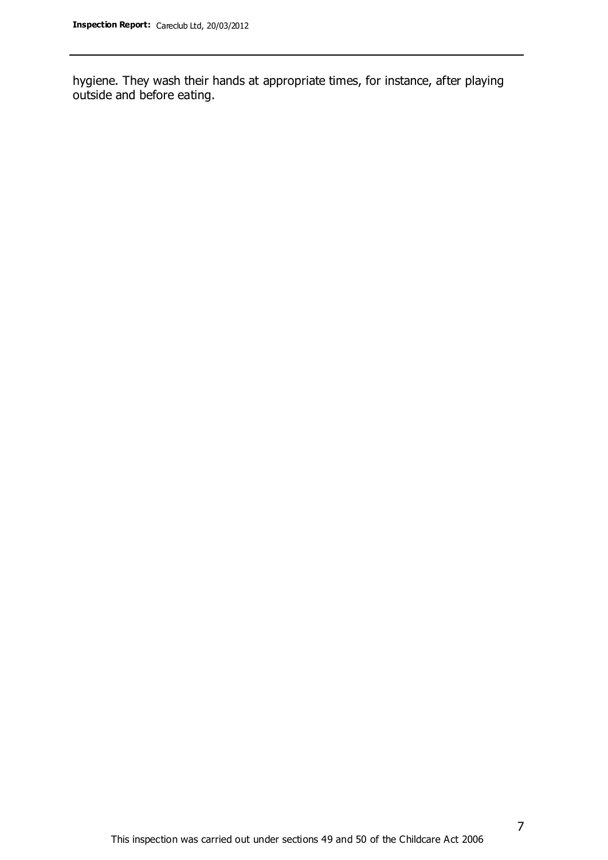hygiene. They wash their hands at appropriate times, for instance, after playing outside and before eating.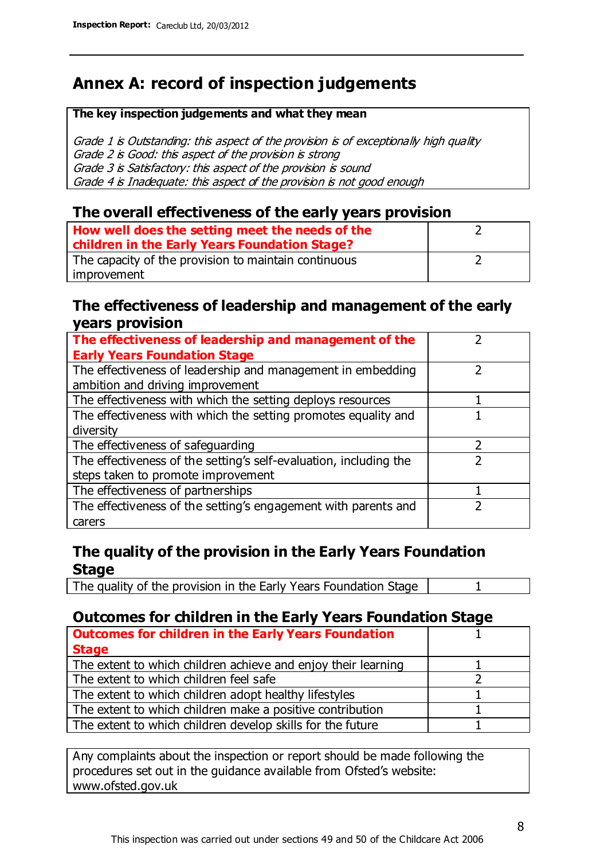## **Annex A: record of inspection judgements**

#### **The key inspection judgements and what they mean**

Grade 1 is Outstanding: this aspect of the provision is of exceptionally high quality Grade 2 is Good: this aspect of the provision is strong Grade 3 is Satisfactory: this aspect of the provision is sound Grade 4 is Inadequate: this aspect of the provision is not good enough

### **The overall effectiveness of the early years provision**

| How well does the setting meet the needs of the<br>children in the Early Years Foundation Stage? |  |
|--------------------------------------------------------------------------------------------------|--|
| The capacity of the provision to maintain continuous                                             |  |
| improvement                                                                                      |  |

### **The effectiveness of leadership and management of the early years provision**

| The effectiveness of leadership and management of the             |  |
|-------------------------------------------------------------------|--|
| <b>Early Years Foundation Stage</b>                               |  |
| The effectiveness of leadership and management in embedding       |  |
| ambition and driving improvement                                  |  |
| The effectiveness with which the setting deploys resources        |  |
| The effectiveness with which the setting promotes equality and    |  |
| diversity                                                         |  |
| The effectiveness of safeguarding                                 |  |
| The effectiveness of the setting's self-evaluation, including the |  |
| steps taken to promote improvement                                |  |
| The effectiveness of partnerships                                 |  |
| The effectiveness of the setting's engagement with parents and    |  |
| carers                                                            |  |

### **The quality of the provision in the Early Years Foundation Stage**

The quality of the provision in the Early Years Foundation Stage | 1

### **Outcomes for children in the Early Years Foundation Stage**

| <b>Outcomes for children in the Early Years Foundation</b>    |  |
|---------------------------------------------------------------|--|
| <b>Stage</b>                                                  |  |
| The extent to which children achieve and enjoy their learning |  |
| The extent to which children feel safe                        |  |
| The extent to which children adopt healthy lifestyles         |  |
| The extent to which children make a positive contribution     |  |
| The extent to which children develop skills for the future    |  |
|                                                               |  |

Any complaints about the inspection or report should be made following the procedures set out in the guidance available from Ofsted's website: www.ofsted.gov.uk